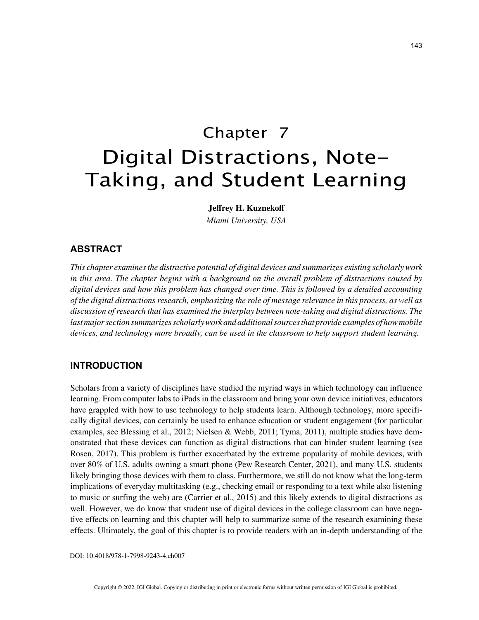# Chapter 7 Digital Distractions, Note-Taking, and Student Learning

**Jeffrey H. Kuznekoff**

*Miami University, USA*

## **ABSTRACT**

*This chapter examines the distractive potential of digital devices and summarizes existing scholarly work in this area. The chapter begins with a background on the overall problem of distractions caused by digital devices and how this problem has changed over time. This is followed by a detailed accounting of the digital distractions research, emphasizing the role of message relevance in this process, as well as discussion of research that has examined the interplay between note-taking and digital distractions. The last major section summarizes scholarly work and additional sources that provide examples of how mobile devices, and technology more broadly, can be used in the classroom to help support student learning.*

# **INTRODUCTION**

Scholars from a variety of disciplines have studied the myriad ways in which technology can influence learning. From computer labs to iPads in the classroom and bring your own device initiatives, educators have grappled with how to use technology to help students learn. Although technology, more specifically digital devices, can certainly be used to enhance education or student engagement (for particular examples, see Blessing et al., 2012; Nielsen & Webb, 2011; Tyma, 2011), multiple studies have demonstrated that these devices can function as digital distractions that can hinder student learning (see Rosen, 2017). This problem is further exacerbated by the extreme popularity of mobile devices, with over 80% of U.S. adults owning a smart phone (Pew Research Center, 2021), and many U.S. students likely bringing those devices with them to class. Furthermore, we still do not know what the long-term implications of everyday multitasking (e.g., checking email or responding to a text while also listening to music or surfing the web) are (Carrier et al., 2015) and this likely extends to digital distractions as well. However, we do know that student use of digital devices in the college classroom can have negative effects on learning and this chapter will help to summarize some of the research examining these effects. Ultimately, the goal of this chapter is to provide readers with an in-depth understanding of the

DOI: 10.4018/978-1-7998-9243-4.ch007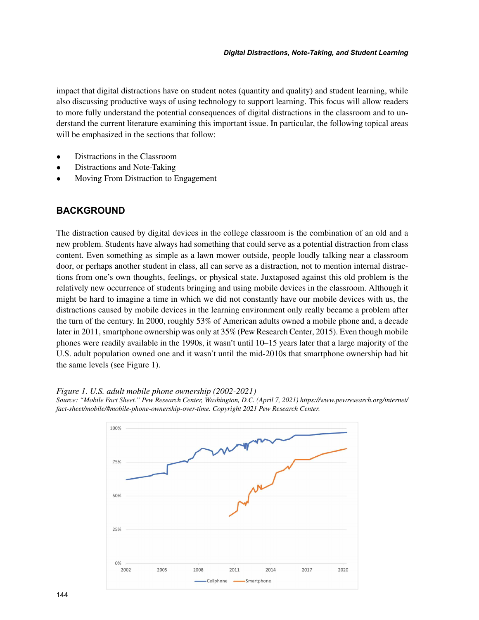impact that digital distractions have on student notes (quantity and quality) and student learning, while also discussing productive ways of using technology to support learning. This focus will allow readers to more fully understand the potential consequences of digital distractions in the classroom and to understand the current literature examining this important issue. In particular, the following topical areas will be emphasized in the sections that follow:

- Distractions in the Classroom
- Distractions and Note-Taking
- Moving From Distraction to Engagement

# **BACKGROUND**

The distraction caused by digital devices in the college classroom is the combination of an old and a new problem. Students have always had something that could serve as a potential distraction from class content. Even something as simple as a lawn mower outside, people loudly talking near a classroom door, or perhaps another student in class, all can serve as a distraction, not to mention internal distractions from one's own thoughts, feelings, or physical state. Juxtaposed against this old problem is the relatively new occurrence of students bringing and using mobile devices in the classroom. Although it might be hard to imagine a time in which we did not constantly have our mobile devices with us, the distractions caused by mobile devices in the learning environment only really became a problem after the turn of the century. In 2000, roughly 53% of American adults owned a mobile phone and, a decade later in 2011, smartphone ownership was only at 35% (Pew Research Center, 2015). Even though mobile phones were readily available in the 1990s, it wasn't until 10–15 years later that a large majority of the U.S. adult population owned one and it wasn't until the mid-2010s that smartphone ownership had hit the same levels (see Figure 1).

*Figure 1. U.S. adult mobile phone ownership (2002-2021)*



*Source: "Mobile Fact Sheet." Pew Research Center, Washington, D.C. (April 7, 2021) https://www.pewresearch.org/internet/ fact-sheet/mobile/#mobile-phone-ownership-over-time. Copyright 2021 Pew Research Center.*